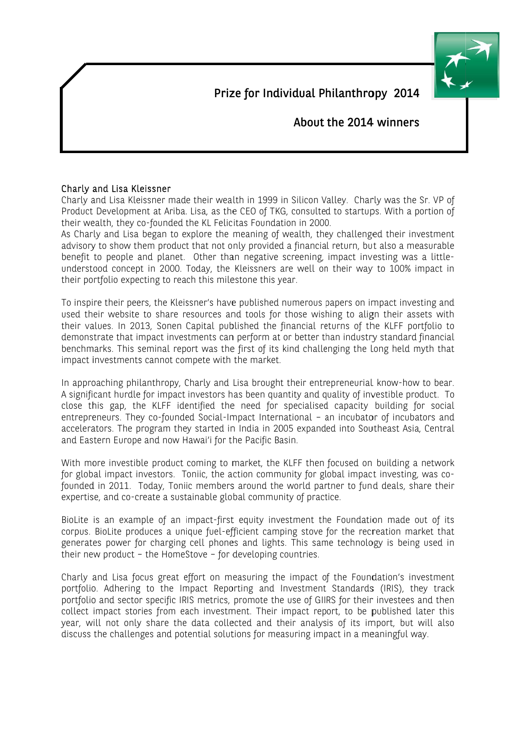Prize for Individual Philanthropy 2014



About the 2014 winners

## Charly and Lisa Kleissner

Charly and Lisa Kleissner made their wealth in 1999 in Silicon Valley. Charly was the Sr. VP of Product Development at Ariba. Lisa, as the CEO of TKG, consulted to startups. With a portion of their wealth, they co-founded the KL Felicitas Foundation in 2000.

As Charly and Lisa began to explore the meaning of wealth, they challenged their investment advisory to show them product that not only provided a financial return, but also a measurable benefit to people and planet. Other than negative screening, impact investing was a littleunderstood concept in 2000. Today, the Kleissners are well on their way to 100% impact in their portfolio expecting to reach this milestone this year.

To inspire their peers, the Kleissner's have published numerous papers on impact investing and used their website to share resources and tools for those wishing to align their assets with their values. In 2013, Sonen Capital published the financial returns of the KLFF portfolio to demonstrate that impact investments can perform at or better than industry standard financial benchmarks. This seminal report was the first of its kind challenging the long held myth that impact investments cannot compete with the market.

In approaching philanthropy, Charly and Lisa brought their entrepreneurial know-how to bear. A significant hurdle for impact investors has been quantity and quality of investible product. To close this gap, the KLFF identified the need for specialised capacity building for social entrepreneurs. They co-founded Social-Impact International - an incubator of incubators and accelerators. The program they started in India in 2005 expanded into Southeast Asia, Central and Eastern Europe and now Hawai'i for the Pacific Basin.

With more investible product coming to market, the KLFF then focused on building a network for global impact investors. Toniic, the action community for global impact investing, was cofounded in 2011. Today, Toniic members around the world partner to fund deals, share their expertise, and co-create a sustainable global community of practice.

BioLite is an example of an impact-first equity investment the Foundation made out of its corpus. BioLite produces a unique fuel-efficient camping stove for the recreation market that generates power for charging cell phones and lights. This same technology is being used in their new product - the HomeStove - for developing countries.

Charly and Lisa focus great effort on measuring the impact of the Foundation's investment portfolio. Adhering to the Impact Reporting and Investment Standards (IRIS), they track portfolio and sector specific IRIS metrics, promote the use of GIIRS for their investees and then collect impact stories from each investment. Their impact report, to be published later this year, will not only share the data collected and their analysis of its import, but will also discuss the challenges and potential solutions for measuring impact in a meaningful way.